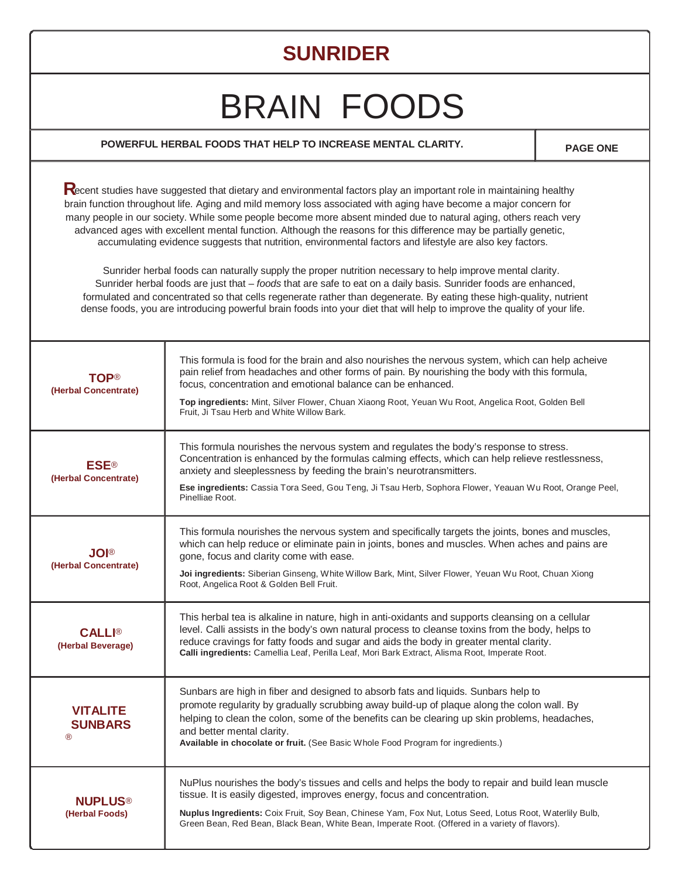## **SUNRIDER**

## BRAIN FOODS

## **POWERFUL HERBAL FOODS THAT HELP TO INCREASE MENTAL CLARITY.**  $\begin{matrix} \cdot & \cdot & \cdot \\ \cdot & \cdot & \cdot \\ \cdot & \cdot & \cdot \end{matrix}$

**®**

Recent studies have suggested that dietary and environmental factors play an important role in maintaining healthy brain function throughout life. Aging and mild memory loss associated with aging have become a major concern for many people in our society. While some people become more absent minded due to natural aging, others reach very advanced ages with excellent mental function. Although the reasons for this difference may be partially genetic, accumulating evidence suggests that nutrition, environmental factors and lifestyle are also key factors.

Sunrider herbal foods can naturally supply the proper nutrition necessary to help improve mental clarity. Sunrider herbal foods are just that – foods that are safe to eat on a daily basis. Sunrider foods are enhanced, formulated and concentrated so that cells regenerate rather than degenerate. By eating these high-quality, nutrient dense foods, you are introducing powerful brain foods into your diet that will help to improve the quality of your life.

| TOP®<br>(Herbal Concentrate)                | This formula is food for the brain and also nourishes the nervous system, which can help acheive<br>pain relief from headaches and other forms of pain. By nourishing the body with this formula,<br>focus, concentration and emotional balance can be enhanced.<br>Top ingredients: Mint, Silver Flower, Chuan Xiaong Root, Yeuan Wu Root, Angelica Root, Golden Bell<br>Fruit, Ji Tsau Herb and White Willow Bark. |
|---------------------------------------------|----------------------------------------------------------------------------------------------------------------------------------------------------------------------------------------------------------------------------------------------------------------------------------------------------------------------------------------------------------------------------------------------------------------------|
| <b>ESE®</b><br>(Herbal Concentrate)         | This formula nourishes the nervous system and regulates the body's response to stress.<br>Concentration is enhanced by the formulas calming effects, which can help relieve restlessness,<br>anxiety and sleeplessness by feeding the brain's neurotransmitters.<br>Ese ingredients: Cassia Tora Seed, Gou Teng, Ji Tsau Herb, Sophora Flower, Yeauan Wu Root, Orange Peel,<br>Pinelliae Root.                       |
| <b>JOI®</b><br>(Herbal Concentrate)         | This formula nourishes the nervous system and specifically targets the joints, bones and muscles,<br>which can help reduce or eliminate pain in joints, bones and muscles. When aches and pains are<br>gone, focus and clarity come with ease.<br>Joi ingredients: Siberian Ginseng, White Willow Bark, Mint, Silver Flower, Yeuan Wu Root, Chuan Xiong<br>Root, Angelica Root & Golden Bell Fruit.                  |
| <b>CALLI®</b><br>(Herbal Beverage)          | This herbal tea is alkaline in nature, high in anti-oxidants and supports cleansing on a cellular<br>level. Calli assists in the body's own natural process to cleanse toxins from the body, helps to<br>reduce cravings for fatty foods and sugar and aids the body in greater mental clarity.<br>Calli ingredients: Camellia Leaf, Perilla Leaf, Mori Bark Extract, Alisma Root, Imperate Root.                    |
| <b>VITALITE</b><br><b>SUNBARS</b><br>®      | Sunbars are high in fiber and designed to absorb fats and liquids. Sunbars help to<br>promote regularity by gradually scrubbing away build-up of plaque along the colon wall. By<br>helping to clean the colon, some of the benefits can be clearing up skin problems, headaches,<br>and better mental clarity.<br>Available in chocolate or fruit. (See Basic Whole Food Program for ingredients.)                  |
| <b>NUPLUS<sup>®</sup></b><br>(Herbal Foods) | NuPlus nourishes the body's tissues and cells and helps the body to repair and build lean muscle<br>tissue. It is easily digested, improves energy, focus and concentration.<br>Nuplus Ingredients: Coix Fruit, Soy Bean, Chinese Yam, Fox Nut, Lotus Seed, Lotus Root, Waterlily Bulb,<br>Green Bean, Red Bean, Black Bean, White Bean, Imperate Root. (Offered in a variety of flavors).                           |